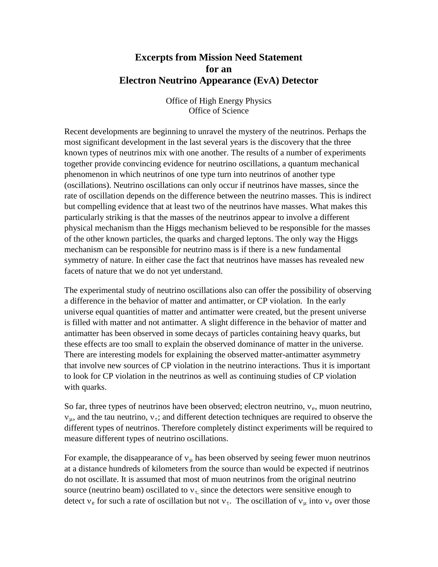## **Excerpts from Mission Need Statement for an Electron Neutrino Appearance (EvA) Detector**

Office of High Energy Physics Office of Science

Recent developments are beginning to unravel the mystery of the neutrinos. Perhaps the most significant development in the last several years is the discovery that the three known types of neutrinos mix with one another. The results of a number of experiments together provide convincing evidence for neutrino oscillations, a quantum mechanical phenomenon in which neutrinos of one type turn into neutrinos of another type (oscillations). Neutrino oscillations can only occur if neutrinos have masses, since the rate of oscillation depends on the difference between the neutrino masses. This is indirect but compelling evidence that at least two of the neutrinos have masses. What makes this particularly striking is that the masses of the neutrinos appear to involve a different physical mechanism than the Higgs mechanism believed to be responsible for the masses of the other known particles, the quarks and charged leptons. The only way the Higgs mechanism can be responsible for neutrino mass is if there is a new fundamental symmetry of nature. In either case the fact that neutrinos have masses has revealed new facets of nature that we do not yet understand.

The experimental study of neutrino oscillations also can offer the possibility of observing a difference in the behavior of matter and antimatter, or CP violation. In the early universe equal quantities of matter and antimatter were created, but the present universe is filled with matter and not antimatter. A slight difference in the behavior of matter and antimatter has been observed in some decays of particles containing heavy quarks, but these effects are too small to explain the observed dominance of matter in the universe. There are interesting models for explaining the observed matter-antimatter asymmetry that involve new sources of CP violation in the neutrino interactions. Thus it is important to look for CP violation in the neutrinos as well as continuing studies of CP violation with quarks.

So far, three types of neutrinos have been observed; electron neutrino,  $v_e$ , muon neutrino,  $v_{\mu}$ , and the tau neutrino,  $v_{\tau}$ ; and different detection techniques are required to observe the different types of neutrinos. Therefore completely distinct experiments will be required to measure different types of neutrino oscillations.

For example, the disappearance of  $v_{\mu}$  has been observed by seeing fewer muon neutrinos at a distance hundreds of kilometers from the source than would be expected if neutrinos do not oscillate. It is assumed that most of muon neutrinos from the original neutrino source (neutrino beam) oscillated to  $v<sub>\tau</sub>$  since the detectors were sensitive enough to detect  $v_e$  for such a rate of oscillation but not  $v_\tau$ . The oscillation of  $v_\mu$  into  $v_e$  over those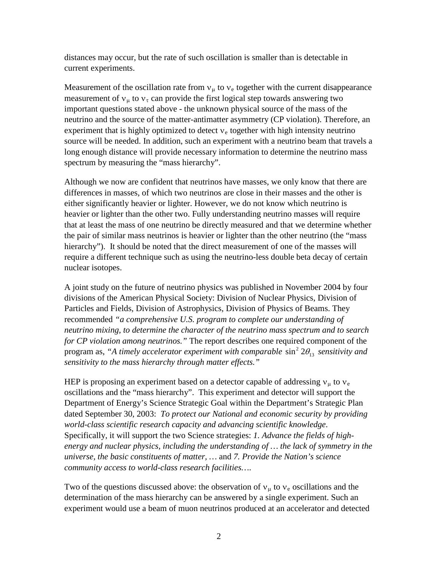distances may occur, but the rate of such oscillation is smaller than is detectable in current experiments.

Measurement of the oscillation rate from  $v_{\mu}$  to  $v_{e}$  together with the current disappearance measurement of  $v_{\mu}$  to  $v_{\tau}$  can provide the first logical step towards answering two important questions stated above - the unknown physical source of the mass of the neutrino and the source of the matter-antimatter asymmetry (CP violation). Therefore, an experiment that is highly optimized to detect  $v_e$  together with high intensity neutrino source will be needed. In addition, such an experiment with a neutrino beam that travels a long enough distance will provide necessary information to determine the neutrino mass spectrum by measuring the "mass hierarchy".

Although we now are confident that neutrinos have masses, we only know that there are differences in masses, of which two neutrinos are close in their masses and the other is either significantly heavier or lighter. However, we do not know which neutrino is heavier or lighter than the other two. Fully understanding neutrino masses will require that at least the mass of one neutrino be directly measured and that we determine whether the pair of similar mass neutrinos is heavier or lighter than the other neutrino (the "mass hierarchy"). It should be noted that the direct measurement of one of the masses will require a different technique such as using the neutrino-less double beta decay of certain nuclear isotopes.

A joint study on the future of neutrino physics was published in November 2004 by four divisions of the American Physical Society: Division of Nuclear Physics, Division of Particles and Fields, Division of Astrophysics, Division of Physics of Beams. They recommended *"a comprehensive U.S. program to complete our understanding of neutrino mixing, to determine the character of the neutrino mass spectrum and to search for CP violation among neutrinos."* The report describes one required component of the program as, "A timely accelerator experiment with comparable  $\sin^2 2\theta_{13}$  sensitivity and *sensitivity to the mass hierarchy through matter effects."*

HEP is proposing an experiment based on a detector capable of addressing  $v_{\mu}$  to  $v_{e}$ oscillations and the "mass hierarchy". This experiment and detector will support the Department of Energy's Science Strategic Goal within the Department's Strategic Plan dated September 30, 2003: *To protect our National and economic security by providing world-class scientific research capacity and advancing scientific knowledge*. Specifically, it will support the two Science strategies: *1. Advance the fields of highenergy and nuclear physics, including the understanding of … the lack of symmetry in the universe, the basic constituents of matter, …* and *7. Provide the Nation's science community access to world-class research facilities…*.

Two of the questions discussed above: the observation of  $v_{\mu}$  to  $v_{e}$  oscillations and the determination of the mass hierarchy can be answered by a single experiment. Such an experiment would use a beam of muon neutrinos produced at an accelerator and detected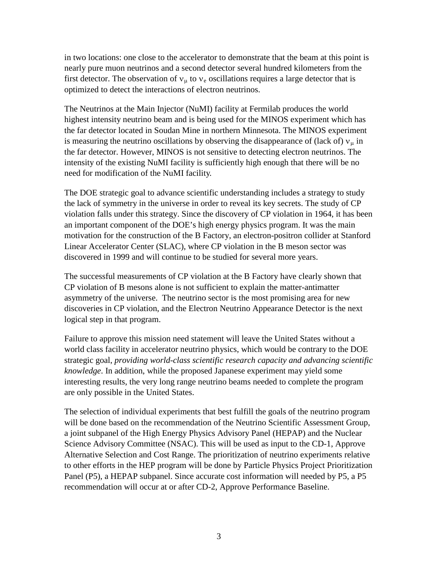in two locations: one close to the accelerator to demonstrate that the beam at this point is nearly pure muon neutrinos and a second detector several hundred kilometers from the first detector. The observation of  $v_{\mu}$  to  $v_{e}$  oscillations requires a large detector that is optimized to detect the interactions of electron neutrinos.

The Neutrinos at the Main Injector (NuMI) facility at Fermilab produces the world highest intensity neutrino beam and is being used for the MINOS experiment which has the far detector located in Soudan Mine in northern Minnesota. The MINOS experiment is measuring the neutrino oscillations by observing the disappearance of (lack of)  $v_{\mu}$  in the far detector. However, MINOS is not sensitive to detecting electron neutrinos. The intensity of the existing NuMI facility is sufficiently high enough that there will be no need for modification of the NuMI facility.

The DOE strategic goal to advance scientific understanding includes a strategy to study the lack of symmetry in the universe in order to reveal its key secrets. The study of CP violation falls under this strategy. Since the discovery of CP violation in 1964, it has been an important component of the DOE's high energy physics program. It was the main motivation for the construction of the B Factory, an electron-positron collider at Stanford Linear Accelerator Center (SLAC), where CP violation in the B meson sector was discovered in 1999 and will continue to be studied for several more years.

The successful measurements of CP violation at the B Factory have clearly shown that CP violation of B mesons alone is not sufficient to explain the matter-antimatter asymmetry of the universe. The neutrino sector is the most promising area for new discoveries in CP violation, and the Electron Neutrino Appearance Detector is the next logical step in that program.

Failure to approve this mission need statement will leave the United States without a world class facility in accelerator neutrino physics, which would be contrary to the DOE strategic goal, *providing world-class scientific research capacity and advancing scientific knowledge*. In addition, while the proposed Japanese experiment may yield some interesting results, the very long range neutrino beams needed to complete the program are only possible in the United States.

The selection of individual experiments that best fulfill the goals of the neutrino program will be done based on the recommendation of the Neutrino Scientific Assessment Group, a joint subpanel of the High Energy Physics Advisory Panel (HEPAP) and the Nuclear Science Advisory Committee (NSAC). This will be used as input to the CD-1, Approve Alternative Selection and Cost Range. The prioritization of neutrino experiments relative to other efforts in the HEP program will be done by Particle Physics Project Prioritization Panel (P5), a HEPAP subpanel. Since accurate cost information will needed by P5, a P5 recommendation will occur at or after CD-2, Approve Performance Baseline.